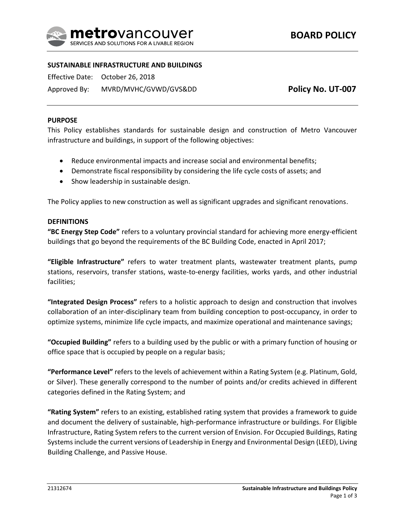

## **SUSTAINABLE INFRASTRUCTURE AND BUILDINGS**

Effective Date: October 26, 2018

Approved By: MVRD/MVHC/GVWD/GVS&DD

**Policy No. UT-007**

### **PURPOSE**

This Policy establishes standards for sustainable design and construction of Metro Vancouver infrastructure and buildings, in support of the following objectives:

- Reduce environmental impacts and increase social and environmental benefits;
- Demonstrate fiscal responsibility by considering the life cycle costs of assets; and
- Show leadership in sustainable design.

The Policy applies to new construction as well as significant upgrades and significant renovations.

### **DEFINITIONS**

**"BC Energy Step Code"** refers to a voluntary provincial standard for achieving more energy-efficient buildings that go beyond the requirements of the BC Building Code, enacted in April 2017;

**"Eligible Infrastructure"** refers to water treatment plants, wastewater treatment plants, pump stations, reservoirs, transfer stations, waste-to-energy facilities, works yards, and other industrial facilities;

**"Integrated Design Process"** refers to a holistic approach to design and construction that involves collaboration of an inter-disciplinary team from building conception to post-occupancy, in order to optimize systems, minimize life cycle impacts, and maximize operational and maintenance savings;

**"Occupied Building"** refers to a building used by the public or with a primary function of housing or office space that is occupied by people on a regular basis;

**"Performance Level"** refers to the levels of achievement within a Rating System (e.g. Platinum, Gold, or Silver). These generally correspond to the number of points and/or credits achieved in different categories defined in the Rating System; and

**"Rating System"** refers to an existing, established rating system that provides a framework to guide and document the delivery of sustainable, high-performance infrastructure or buildings. For Eligible Infrastructure, Rating System refers to the current version of Envision. For Occupied Buildings, Rating Systems include the current versions of Leadership in Energy and Environmental Design (LEED), Living Building Challenge, and Passive House.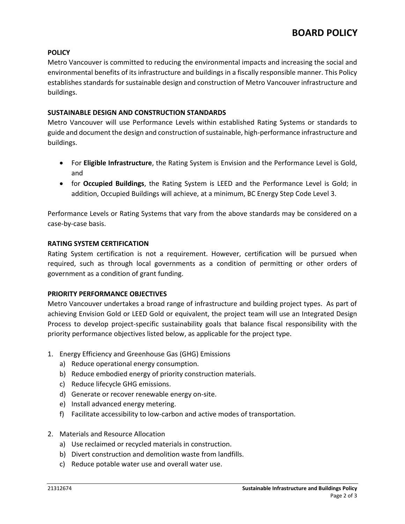# **POLICY**

Metro Vancouver is committed to reducing the environmental impacts and increasing the social and environmental benefits of its infrastructure and buildings in a fiscally responsible manner. This Policy establishes standards for sustainable design and construction of Metro Vancouver infrastructure and buildings.

## **SUSTAINABLE DESIGN AND CONSTRUCTION STANDARDS**

Metro Vancouver will use Performance Levels within established Rating Systems or standards to guide and document the design and construction of sustainable, high-performance infrastructure and buildings.

- For **Eligible Infrastructure**, the Rating System is Envision and the Performance Level is Gold, and
- **•** for Occupied Buildings, the Rating System is LEED and the Performance Level is Gold; in addition, Occupied Buildings will achieve, at a minimum, BC Energy Step Code Level 3.

Performance Levels or Rating Systems that vary from the above standards may be considered on a case-by-case basis.

## **RATING SYSTEM CERTIFICATION**

Rating System certification is not a requirement. However, certification will be pursued when required, such as through local governments as a condition of permitting or other orders of government as a condition of grant funding.

### **PRIORITY PERFORMANCE OBJECTIVES**

Metro Vancouver undertakes a broad range of infrastructure and building project types. As part of achieving Envision Gold or LEED Gold or equivalent, the project team will use an Integrated Design Process to develop project-specific sustainability goals that balance fiscal responsibility with the priority performance objectives listed below, as applicable for the project type.

- 1. Energy Efficiency and Greenhouse Gas (GHG) Emissions
	- a) Reduce operational energy consumption.
	- b) Reduce embodied energy of priority construction materials.
	- c) Reduce lifecycle GHG emissions.
	- d) Generate or recover renewable energy on-site.
	- e) Install advanced energy metering.
	- f) Facilitate accessibility to low-carbon and active modes of transportation.
- 2. Materials and Resource Allocation
	- a) Use reclaimed or recycled materials in construction.
	- b) Divert construction and demolition waste from landfills.
	- c) Reduce potable water use and overall water use.